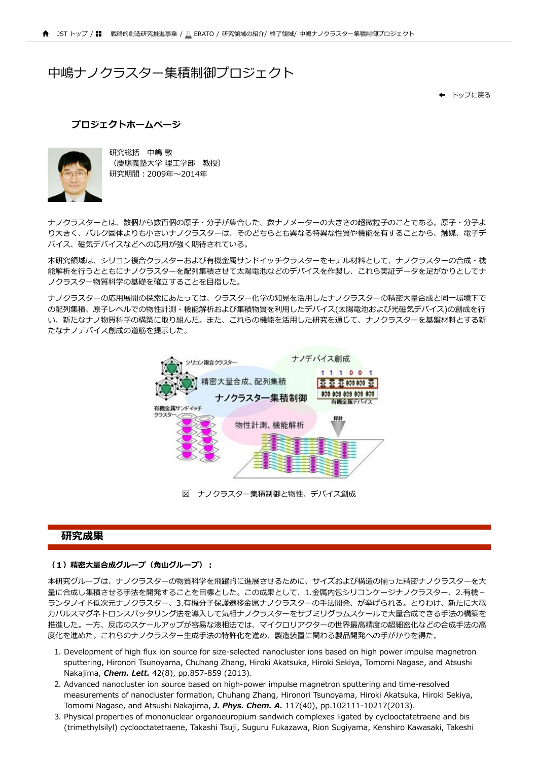# 中嶋ナノクラスター集積制御プロジェクト

[トップに戻る](http://10.11.8.205/senryaku/migration/erato/index.html) ←

### **[プロジェクトホームページ](https://www.jst.go.jp/erato/nakajima/)**



研究総括 中嶋 敦 (慶應義塾⼤学 理⼯学部 教授) 研究期間︓2009年〜2014年

ナノクラスターとは、数個から数百個の原子・分子が集合した、数ナノメーターの大きさの超微粒子のことである。原子・分子よ り大きく、バルク固体よりも小さいナノクラスターは、そのどちらとも異なる特異な性質や機能を有することから、触媒、電子デ バイス、磁気デバイスなどへの応⽤が強く期待されている。

本研究領域は、シリコン複合クラスターおよび有機⾦属サンドイッチクラスターをモデル材料として、ナノクラスターの合成・機 能解析を行うとともにナノクラスターを配列集積させて太陽電池などのデバイスを作製し、これら実証データを足がかりとしてナ ノクラスター物質科学の基礎を確立することを目指した。

ナノクラスターの応用展開の探索にあたっては、クラスター化学の知見を活用したナノクラスターの精密大量合成と同一環境下で の配列集積、原子レベルでの物性計測・機能解析および集積物質を利用したデバイス(太陽電池および光磁気デバイス)の創成を行 い、新たなナノ物質科学の構築に取り組んだ。また、これらの機能を活用した研究を通じて、ナノクラスターを基盤材料とする新 たなナノデバイス創成の道筋を提示した。



図 ナノクラスター集積制御と物性、デバイス創成

# **研究成果**

#### (1) 精密大量合成グループ (角山グループ) :

本研究グループは、ナノクラスターの物質科学を飛躍的に進展させるために、サイズおよび構造の揃った精密ナノクラスターを大 ■に合成し集積させる手法を開発することを目標とした。この成果として、1.金属内包シリコンケージナノクラスター、2.有機− ランタノイド低次元ナノクラスター、3.有機分子保護遷移金属ナノクラスターの手法開発、が挙げられる。とりわけ、新たに大電 カパルスマグネトロンスパッタリング法を導入して気相ナノクラスターをサブミリグラムスケールで大量合成できる手法の構築を 推進した。一方、反応のスケールアップが容易な液相法では、マイクロリアクターの世界最高精度の超細密化などの合成手法の高 度化を進めた。これらのナノクラスター生成手法の特許化を進め、製造装置に関わる製品開発への手がかりを得た。

- 1. Development of high flux ion source for size-selected nanocluster ions based on high power impulse magnetron sputtering, Hironori Tsunoyama, Chuhang Zhang, Hiroki Akatsuka, Hiroki Sekiya, Tomomi Nagase, and Atsushi Nakajima, *Chem. Lett.* 42(8), pp.857-859 (2013).
- 2. Advanced nanocluster ion source based on high-power impulse magnetron sputtering and time-resolved measurements of nanocluster formation, Chuhang Zhang, Hironori Tsunoyama, Hiroki Akatsuka, Hiroki Sekiya, Tomomi Nagase, and Atsushi Nakajima, *J. Phys. Chem. A.* 117(40), pp.102111-10217(2013).
- 3. Physical properties of mononuclear organoeuropium sandwich complexes ligated by cyclooctatetraene and bis (trimethylsilyl) cyclooctatetraene, Takashi Tsuji, Suguru Fukazawa, Rion Sugiyama, Kenshiro Kawasaki, Takeshi